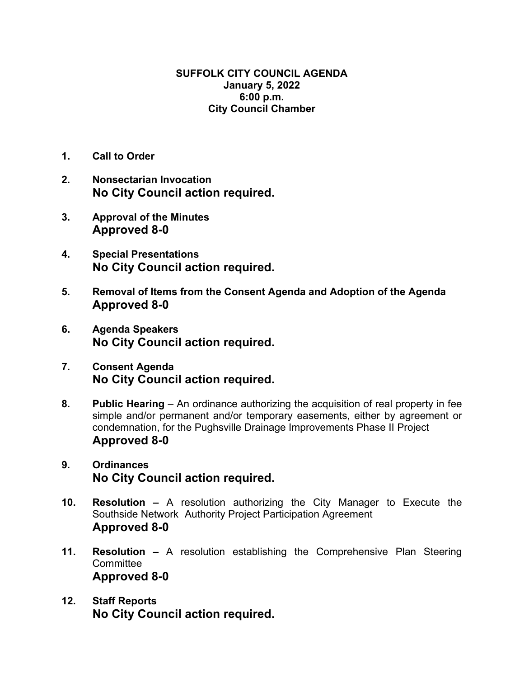## **SUFFOLK CITY COUNCIL AGENDA January 5, 2022 6:00 p.m. City Council Chamber**

- **1. Call to Order**
- **2. Nonsectarian Invocation No City Council action required.**
- **3. Approval of the Minutes Approved 8-0**
- **4. Special Presentations No City Council action required.**
- **5. Removal of Items from the Consent Agenda and Adoption of the Agenda Approved 8-0**
- **6. Agenda Speakers No City Council action required.**
- **7. Consent Agenda No City Council action required.**
- **8. Public Hearing** An ordinance authorizing the acquisition of real property in fee simple and/or permanent and/or temporary easements, either by agreement or condemnation, for the Pughsville Drainage Improvements Phase II Project **Approved 8-0**
- **9. Ordinances No City Council action required.**
- **10. Resolution** A resolution authorizing the City Manager to Execute the Southside Network Authority Project Participation Agreement **Approved 8-0**
- **11. Resolution** A resolution establishing the Comprehensive Plan Steering **Committee Approved 8-0**
- **12. Staff Reports No City Council action required.**